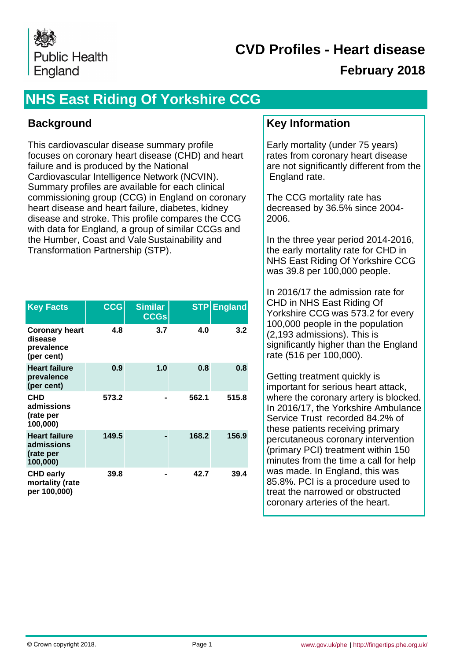

# **CVD Profiles - Heart disease**

### **February 2018**

# **NHS East Riding Of Yorkshire CCG**

#### **Background**

This cardiovascular disease summary profile focuses on coronary heart disease (CHD) and heart failure and is produced by the National Cardiovascular Intelligence Network (NCVIN). Summary profiles are available for each clinical commissioning group (CCG) in England on coronary heart disease and heart failure, diabetes, kidney disease and stroke. This profile compares the CCG with data for England, a group of similar CCGs and the Humber, Coast and Vale Sustainability and Transformation Partnership (STP).

| <b>Key Facts</b>                                             | <b>CCG</b> | <b>Similar</b><br><b>CCGs</b> | <b>STP</b> | <b>England</b> |
|--------------------------------------------------------------|------------|-------------------------------|------------|----------------|
| <b>Coronary heart</b><br>disease<br>prevalence<br>(per cent) | 4.8        | 3.7                           | 4.0        | 3.2            |
| <b>Heart failure</b><br>prevalence<br>(per cent)             | 0.9        | 1.0                           | 0.8        | 0.8            |
| <b>CHD</b><br>admissions<br>(rate per<br>100,000)            | 573.2      |                               | 562.1      | 515.8          |
| <b>Heart failure</b><br>admissions<br>(rate per<br>100,000)  | 149.5      |                               | 168.2      | 156.9          |
| <b>CHD early</b><br>mortality (rate<br>per 100,000)          | 39.8       |                               | 42.7       | 39.4           |

#### **Key Information**

Early mortality (under 75 years) rates from coronary heart disease are not significantly different from the England rate.

The CCG mortality rate has decreased by 36.5% since 2004- 2006.

In the three year period 2014-2016, the early mortality rate for CHD in NHS East Riding Of Yorkshire CCG was 39.8 per 100,000 people.

In 2016/17 the admission rate for CHD in NHS East Riding Of Yorkshire CCG was 573.2 for every 100,000 people in the population (2,193 admissions). This is significantly higher than the England rate (516 per 100,000).

Getting treatment quickly is important for serious heart attack, where the coronary artery is blocked. In 2016/17, the Yorkshire Ambulance Service Trust recorded 84.2% of these patients receiving primary percutaneous coronary intervention (primary PCI) treatment within 150 minutes from the time a call for help was made. In England, this was 85.8%. PCI is a procedure used to treat the narrowed or obstructed coronary arteries of the heart.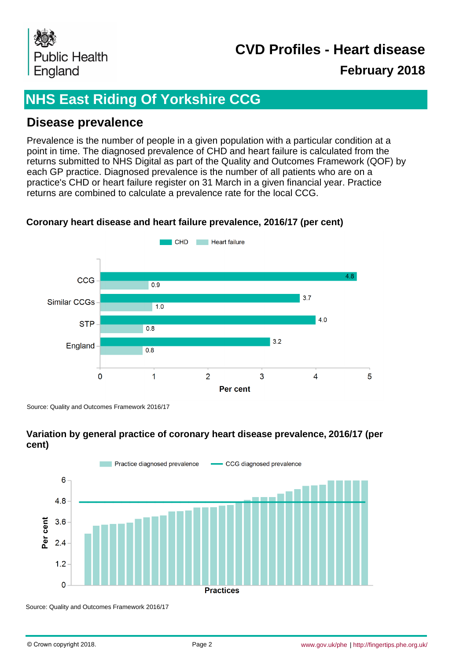

# **February 2018 CVD Profiles - Heart disease**

# **NHS East Riding Of Yorkshire CCG**

#### **Disease prevalence**

Prevalence is the number of people in a given population with a particular condition at a point in time. The diagnosed prevalence of CHD and heart failure is calculated from the returns submitted to NHS Digital as part of the Quality and Outcomes Framework (QOF) by each GP practice. Diagnosed prevalence is the number of all patients who are on a practice's CHD or heart failure register on 31 March in a given financial year. Practice returns are combined to calculate a prevalence rate for the local CCG.

#### CHD Heart failure  $4.8$ CCG  $0.9$  $3.7$ **Similar CCGs**  $1.0$  $4.0$ **STP**  $0.8$  $3.2$ England  $0.8$  $\overline{0}$ 1  $\overline{2}$ 3  $\overline{\mathbf{4}}$ 5 Per cent

#### **Coronary heart disease and heart failure prevalence, 2016/17 (per cent)**

Source: Quality and Outcomes Framework 2016/17

#### **Variation by general practice of coronary heart disease prevalence, 2016/17 (per cent)**



Source: Quality and Outcomes Framework 2016/17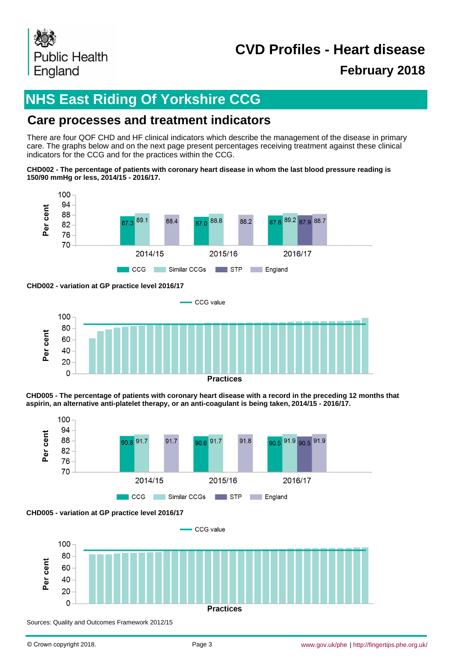

# **February 2018 CVD Profiles - Heart disease**

# **NHS East Riding Of Yorkshire CCG**

#### **Care processes and treatment indicators**

There are four QOF CHD and HF clinical indicators which describe the management of the disease in primary care. The graphs below and on the next page present percentages receiving treatment against these clinical indicators for the CCG and for the practices within the CCG.

**CHD002 - The percentage of patients with coronary heart disease in whom the last blood pressure reading is 150/90 mmHg or less, 2014/15 - 2016/17.**



**CHD002 - variation at GP practice level 2016/17**











Sources: Quality and Outcomes Framework 2012/15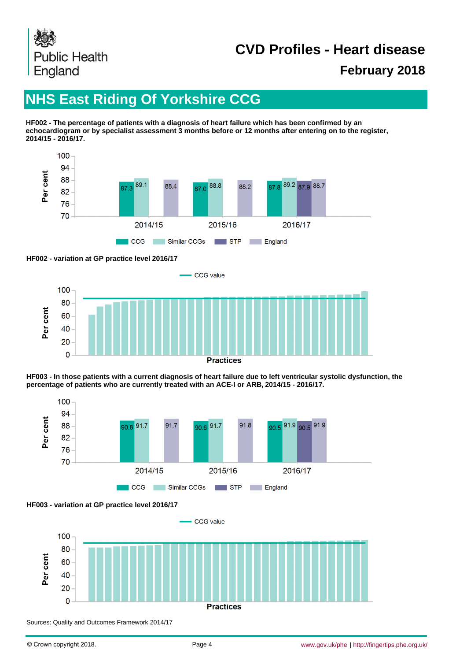

# **February 2018 CVD Profiles - Heart disease**

# **NHS East Riding Of Yorkshire CCG**

**HF002 - The percentage of patients with a diagnosis of heart failure which has been confirmed by an echocardiogram or by specialist assessment 3 months before or 12 months after entering on to the register, 2014/15 - 2016/17.**















Sources: Quality and Outcomes Framework 2014/17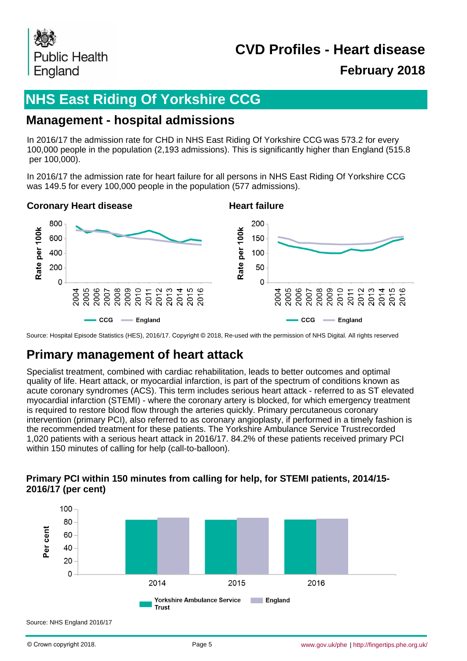

# **CVD Profiles - Heart disease**

### **February 2018**

# **NHS East Riding Of Yorkshire CCG**

#### **Management - hospital admissions**

In 2016/17 the admission rate for CHD in NHS East Riding Of Yorkshire CCG was 573.2 for every 100,000 people in the population (2,193 admissions). This is significantly higher than England (515.8 per 100,000).

In 2016/17 the admission rate for heart failure for all persons in NHS East Riding Of Yorkshire CCG was 149.5 for every 100,000 people in the population (577 admissions).

#### **Coronary Heart disease <b>Heart failure Heart failure**



Source: Hospital Episode Statistics (HES), 2016/17. Copyright © 2018, Re-used with the permission of NHS Digital. All rights reserved

#### **Primary management of heart attack**

Specialist treatment, combined with cardiac rehabilitation, leads to better outcomes and optimal quality of life. Heart attack, or myocardial infarction, is part of the spectrum of conditions known as acute coronary syndromes (ACS). This term includes serious heart attack - referred to as ST elevated myocardial infarction (STEMI) - where the coronary artery is blocked, for which emergency treatment is required to restore blood flow through the arteries quickly. Primary percutaneous coronary intervention (primary PCI), also referred to as coronary angioplasty, if performed in a timely fashion is the recommended treatment for these patients. The Yorkshire Ambulance Service Trust recorded 1,020 patients with a serious heart attack in 2016/17. 84.2% of these patients received primary PCI within 150 minutes of calling for help (call-to-balloon).



#### **Primary PCI within 150 minutes from calling for help, for STEMI patients, 2014/15- 2016/17 (per cent)**

Source: NHS England 2016/17